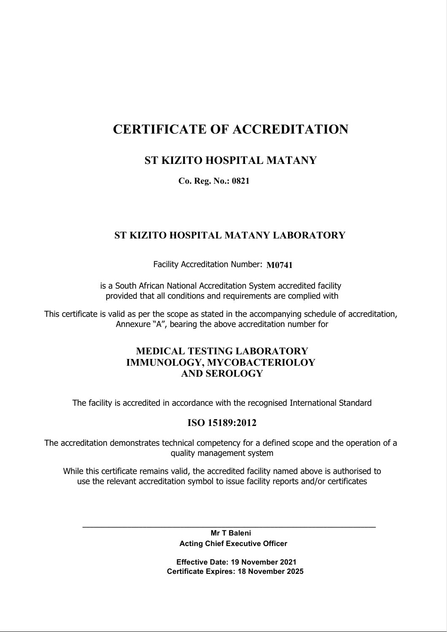# CERTIFICATE OF ACCREDITATION

# ST KIZITO HOSPITAL MATANY

Co. Reg. No.: 0821

## ST KIZITO HOSPITAL MATANY LABORATORY

Facility Accreditation Number: M0741

is a South African National Accreditation System accredited facility provided that all conditions and requirements are complied with

This certificate is valid as per the scope as stated in the accompanying schedule of accreditation, Annexure "A", bearing the above accreditation number for

### MEDICAL TESTING LABORATORY IMMUNOLOGY, MYCOBACTERIOLOY AND SEROLOGY

The facility is accredited in accordance with the recognised International Standard

## ISO 15189:2012

The accreditation demonstrates technical competency for a defined scope and the operation of a quality management system

While this certificate remains valid, the accredited facility named above is authorised to use the relevant accreditation symbol to issue facility reports and/or certificates

> Mr T Baleni Acting Chief Executive Officer

\_\_\_\_\_\_\_\_\_\_\_\_\_\_\_\_\_\_\_\_\_\_\_\_\_\_\_\_\_\_\_\_\_\_\_\_\_\_\_\_\_\_\_\_\_\_\_\_\_\_\_\_\_\_\_\_\_\_\_\_\_\_\_\_\_\_\_\_\_\_\_\_\_\_\_\_\_\_

 Effective Date: 19 November 2021 Certificate Expires: 18 November 2025